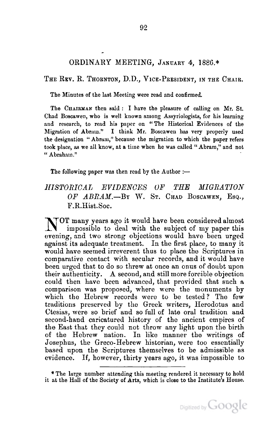## ORDINARY MEETING, JANUARY 4, 1886.\*

THE REV. R. THORNTON, D.D., VICE-PRESIDENT, IN THE CHAIR.

The Minutes of the last Meeting were read and confirmed.

The CHAIRMAN then said: I have the pleasure of calling on Mr. St. Chad Boscawen, who is well known among Assyriologists, for his learning and research, to read his paper on "The Historical Evidences of the Migration of Abram." I think Mr. Boscawen has very properly used the designation "Abram," because the migration to which the paper refers took place, as we all know, at a time when he was called" Abram," and not "Abraham." .

The following paper was then read by the Author :-

## *HISTORIOAL EVIDENOES UF THE MIGRATION OF ABRAM.-By* W. ST. CHAD BOSCAWEN, ESQ., F.R.Hist.Soc.

NOT many years ago it would have been considered almost impossible to deal with the subject of my paper this evening, and two strong objections would have been urged against its adequate treatment. In the first place, to many it would have seemed irreverent thus to place the Scriptures in comparative contact with secular records, and it would have been urged that to do so threw at once an onus of doubt upon their authenticity. A second, and still more forcible objection could then have been advanced, that provided that such a. comparison was proposed, where were the monuments by which the Hebrew records were to be tested? The few traditions preserved by the Greek writers, Herodotus and Ctesias, were 80 brief and so full of late oral tradition and second-hand caricatured history of the ancient empires of the East that they could not throw any light upon the birth of the Hebrew nation. In like manner the writings of Josephus, the Greco-Hebrew historian, were too essentially based upon the Scriptures themselves to be admissible as evidence. If, however, thirty years ago, it was impossible to

<sup>\*</sup> The large number attending this meeting rendered it necessary to hold it at the Hall of the Society of Arts, which is close to the Institute's House.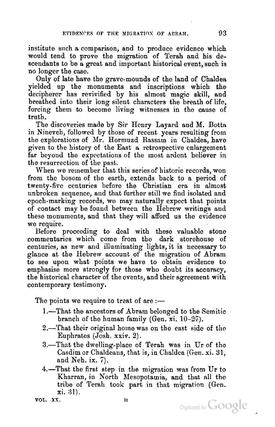institute snch a comparison, and to produce evidence which would tend to prove the migration of Terah and his descendants to be a great and important historical event, such is no longer the case.

Only of late have the grave-mounds of the land of Chaldea yielded up the monuments and inscriptions which the decipherer has revivified by his almost magic skill, and breathed into their long silent characters the breath of life, forcing them to become living witnesses in the cause of truth.

The discoveries made by Sir Henry Layard and M. Botta in Nineveh, followed by those of recent years resulting from the explorations of Mr. Hormuzd Rassam in Chaldea, have given to the history of the East a retrospective enlargement far beyond the expectations of the most ardent believer in the resurrection of the past.

When we remember that this series of historic records, won from the bosom of the earth, extends back to a period of twenty-five centuries before the Christian era in almost unbroken sequence, and that further still we find isolated and epoch-marking records, we may naturally expect that points of contact may be found between the Hebrew writings and these monuments, and that they will afford us the evidence we require.

Before proceeding to deal with these valuable stone commentaries which come from the dark storehouse of centuries, as new and illuminating lights, it is necessary to glance at the Hebrew account of the migratiou of Abram to see upon what points we have to obtain evidence to emphasise more strongly for those who doubt its accuracy, the historical character of the events, and their agreement with contemporary testimony.

The points we require to treat of are  $:$ 

- 1.-1'hat the ancestors of Abram belonged to the Semitic branch of the human family (Gen. xi.  $10-27$ ).
- 2.—That their original home was on the east side of the Euphrates (Josh. xxiv. 2).
- 3.-That the dwelling-place of Terah was in Ur of the Casdim or Chaldeans, that is, in Chaldca (Gen. xi. 31, and Neh. ix.  $7$ ).
- 4.—That the first step in the migration was from Ur to Kharran, in North Mesopotamia, and that all the tribe of Terah took part in that migration (Gen. xi. 31).



VOL. XX. H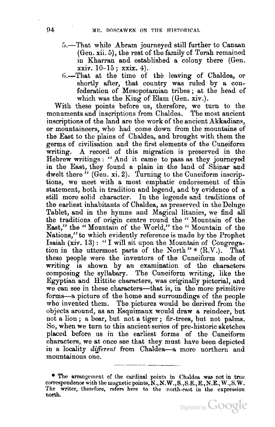- 5.-That while Abram journeyed still further to Canaan (Gen. xii. 5), the rest of the family of Terah remained in Kharran and established a colony there (Gen.  $\{xxiiv. 10-15; xxix. 4\}.$
- G.-That at the time of the leaving of Chaldea, or shortly after, that country was ruled by a confederation of Mesopotamian tribes j at the head of which was the King of Elam (Gen. xiv.).

With these points before us, therefore, we turn to the monuments and inscriptions from Chaldea. The most ancient inscriptions of the land are the work of the ancient Akkadians, or mountaineers, who had come down from the mountains of the East to the plains of Chaldea, and brought with them the germs of civilisation and the first elements of the Cuneiform writing. A record of this migration is preserved in the Hebrew writings: "And it came to pass as they journeyed in the East, they found a plain in the land of Shinar and dwelt there  $\mu$  (Gen. xi. 2). Turning to the Cuneiform inscriptions, we meet with a most emphatic endorsement of this statement, both in tradition and legend, and by evidence of a still more solid character. In the legends and traditions of the earliest inhabitants of Chaldea, as preserved in theDeluge Tablet, and in the hymns and Magical litanies, we find all the traditions of origin centre round the" Mountain of the East," the "Monntain of the World," the "Mountain of the Nations," to which evidently reference is made by the Prophet Isaiah (xiv. 13): "I will sit upon the Mountain of Congregation in the uttermost parts of the North" \*  $(R.V.)$ . That these people were the inventors of the Cuneiform mode of writing is shown by an examination of the characters composing the syllabary. The Cuneiform writing, like the Egyptian and Hittite characters, was originally pictorial, and we can see in these characters-that is, in the more primitive forms-a picture of the home and surroundings of the people who invented them. The pictures would be derived from the objects around, as an Esquimaux would draw a reindeer, but not a lion; a bear, but not a tiger; fir-trees, but not palms. So, when we turn to this ancient series of pre-historic sketches placed before us in the earliest forms of the Cuneiform characters, we at once see that they must have been depicted in a locality *different* from Chaldea-a more northern and mountainous one.

<sup>\*</sup> The arrangement of the cardinal points in Chaldea was not in true correspondence with the magnetic points,N.,N. W.,S.,S.E.,E.,N.E., W.,S. W. The writer, therefore, refers here to the north-east in the expression north.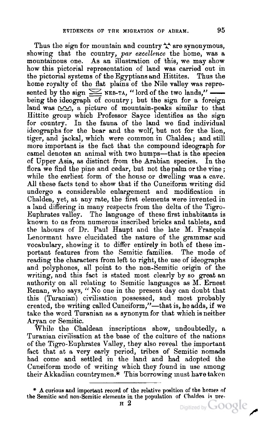Thus the sign for mountain and country  $\uparrow$  are synonymous, showing that the country, par excellence the home, was a mountainous one. As an illustration of 'this, we may show how this pictorial representation of land was carried out in the pictorial systems of the Egyptians and Hittites. Thus the the pictorial systems of the Egyptians and Hittites. home royalty of the flat plains of the Nile valley was represented by the sign  $\leq$  NEB-TA, "lord of the two lands," being the ideograph of country; but the sign for a foreign land was  $\sim$ , a picture of mountain-peaks similar to that Hittite group which Professor Sayce identifies as the sign for country. In the fauna of the land we find individual ideographs for the bear and the wolf, but not for the lion, tiger, and jackal, which were common in Chaldea; and still more important is the fact that the compound ideograph for camel denotes an animal with two humps-that is the species of Upper Asia, as distinct from the Arabian species. In the flora we find the pine and cedar, but not the palm or the vine; while the earliest form of the house or dwelling was a cave. All these facts tend to show that if the Cuneiform writing did undergo a considerable enlargement and modification in Chaldea., yet, at any rate, the first elements were invented in a land differing in many respects from the delta of the Tigro-Euphrates valley. The language of these first inhabitants is known to us from numerous inscribed bricks and tablets, and the labours of Dr. Paul Haupt and the late  $M$ . Francois Lenormant have elucidated the nature of the grammar and vocabulary, showing it to differ entirely in both of these important features from the Semitic families. The mode of reading the characters from left to right, the use of ideographs and polyphones, all point to the non-Semitic origin of the writing, and this fact is stated most clearly by so great an authority on all relating to Semitic languages as M. Ernest Renan, who says, "No one in the present day can doubt that this (Turanian) civilisation possessed, and most probably created, the writing called Cuneiform,"-that is, he adds, if we take the word Turanian as a synonym for that which is neither Aryan or Semitic.

While the Chaldean inscriptions show, undoubtedly, a 'furanian civilisation at the base of the culture of the nations of the Tigro-Euphrates Valley, they also reveal the important fact that at a very early period, tribes of Semitic nomads had come and settled in the land and had adopted the Cuneiform mode of writing which they found in use among their Akkadian countrymen.\* This borrowing must have taken

Digitized by **GOOGLE** 

 $*$  A curious and important record of the relative position of the homes of the Semitic and non-Semitic elements in the population of Chaldea is pre-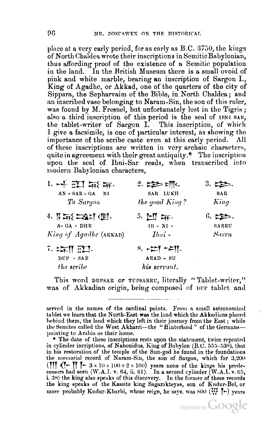place at a very early period, for as early as B.C. 3750, the kings of North Chaldea wrote their inscriptions in Semitic Babylonian, thus affording proof of the existence of a Semitic population in the land. In the British Museum there is a small ovoid of pink and white marble, bearing an inscription of Sargon I., King of Agadhe, or Akkad, one of the quarters of the city of Sippara, the Sepharvaim of the Bible, in North Chaldea; and an inscribed vase belonging to Naram-Sin, the son of this ruler, was found by M. Fresnel, but unfortunately lost in the Tigris; also a third inscription of this period is the seal of IBNI SAR, the tablet-writer of Sargon I. This inscription, of which I give a facsimile, is one of particular interest, as showing the importance of the scribe caste even at this early period. All of these inscriptions are written in very archaic characters, quite in agreement with their great antiquity.\* The inscription upon the seal of Ibni-Sar reads, when transcribed into modern Babylonian characters,

| 1. 千四年                                                                    |                | $3.$ t $\geqslant$ |
|---------------------------------------------------------------------------|----------------|--------------------|
| $AN - SAR - GA NI$                                                        | SAR LUKII      | SAR                |
| To Sargon                                                                 | the good King? | King               |
| $4.$ $\beta$ $\overline{m}$ $\geq$ $\Delta$ $\alpha$ $\in$ $\mathbb{R}$ . | $5. \pm 0.5$   | 6.                 |
| $A - GA - DHE$                                                            | $IB - NI -$    | <b>SARRU</b>       |
| King of Agadhe (AKKAD)                                                    | $Ibmi$ -       | Sarru              |
| 7. 案件:第1.                                                                 |                |                    |
| DUP - SAR                                                                 | ARAD - SU      |                    |
| the scribe                                                                | his servant.   |                    |

This word DUPSAR or TUPSARRU, literally "Tablet-writer," was of Akkadian origin, being composed of DUP tablet and

served in the names of the cardinal points. From a small astronomical tablet we learn that the North-East was the land which the Akkadians placed behind them, the land which they left in their journey from the East; while the Semites called the West Akharri-the "Hinterland" of the Germanspointing to Arabia as their home.

<sup>\*</sup> The date of these inscriptions rests upon the statement, twice repeated in cylinder incriptions, of Nabonidus, King of Babylon (B.C. 555–538), that in his restoration of the temple of the Sun-god he found in the foundations the memorial record of Naram-Sin, the son of Sargon, which for 3,200 ( $\frac{1}{2}$ )  $\frac{1}{2}$   $\frac{1}{2}$   $\frac{1}{2}$   $\frac{1}{2}$   $\times$  100 + 2  $\times$  100) years none of the kings his predecessors had seen (W.A.I. v. 64, ii. 61). In a second cylinder (W.A.I. v. 65, i. 38) the king also speaks of this discovery. In the former of these records the king speaks of the Kassite king Sagarakteyas, son of Kudur-Bel, or more probably Kudur-Kharbi, whose reign, he says, was  $800$  ( $\frac{W}{V}$ ) vears